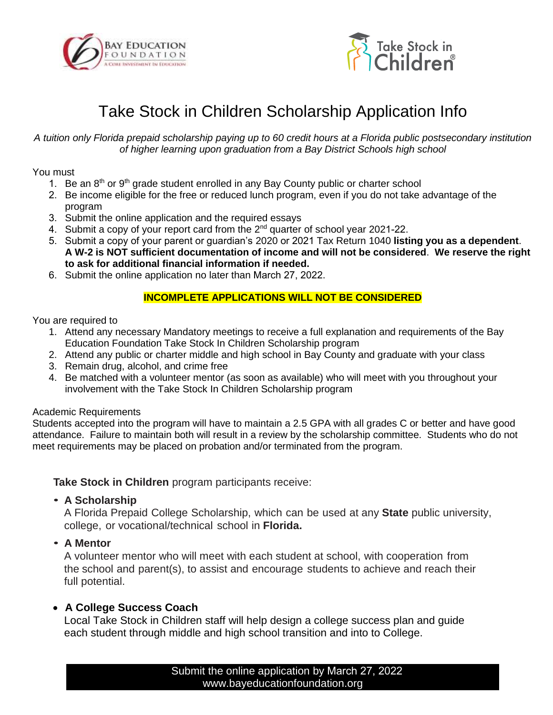



# Take Stock in Children Scholarship Application Info

*A tuition only Florida prepaid scholarship paying up to 60 credit hours at a Florida public postsecondary institution of higher learning upon graduation from a Bay District Schools high school*

You must

- 1. Be an  $8<sup>th</sup>$  or  $9<sup>th</sup>$  grade student enrolled in any Bay County public or charter school
- 2. Be income eligible for the free or reduced lunch program, even if you do not take advantage of the program
- 3. Submit the online application and the required essays
- 4. Submit a copy of your report card from the 2<sup>nd</sup> quarter of school year 2021-22.
- 5. Submit a copy of your parent or guardian's 2020 or 2021 Tax Return 1040 **listing you as a dependent**. **A W-2 is NOT sufficient documentation of income and will not be considered**. **We reserve the right to ask for additional financial information if needed.**
- 6. Submit the online application no later than March 27, 2022.

#### **INCOMPLETE APPLICATIONS WILL NOT BE CONSIDERED**

You are required to

- 1. Attend any necessary Mandatory meetings to receive a full explanation and requirements of the Bay Education Foundation Take Stock In Children Scholarship program
- 2. Attend any public or charter middle and high school in Bay County and graduate with your class
- 3. Remain drug, alcohol, and crime free
- 4. Be matched with a volunteer mentor (as soon as available) who will meet with you throughout your involvement with the Take Stock In Children Scholarship program

#### Academic Requirements

Students accepted into the program will have to maintain a 2.5 GPA with all grades C or better and have good attendance. Failure to maintain both will result in a review by the scholarship committee. Students who do not meet requirements may be placed on probation and/or terminated from the program.

**Take Stock in Children** program participants receive:

• **A Scholarship**

A Florida Prepaid College Scholarship, which can be used at any **State** public university, college, or vocational/technical school in **Florida.**

• **A Mentor**

A volunteer mentor who will meet with each student at school, with cooperation from the school and parent(s), to assist and encourage students to achieve and reach their full potential.

### • **A College Success Coach**

Local Take Stock in Children staff will help design a college success plan and guide each student through middle and high school transition and into to College.